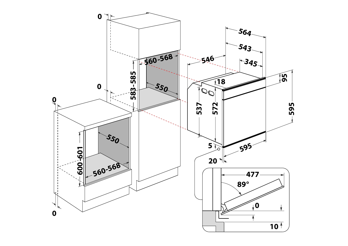